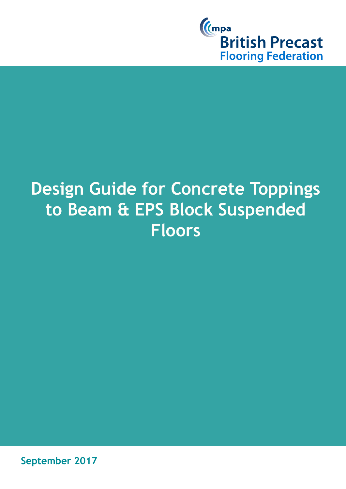

# **Design Guide for Concrete Toppings to Beam & EPS Block Suspended Floors**

**September 2017**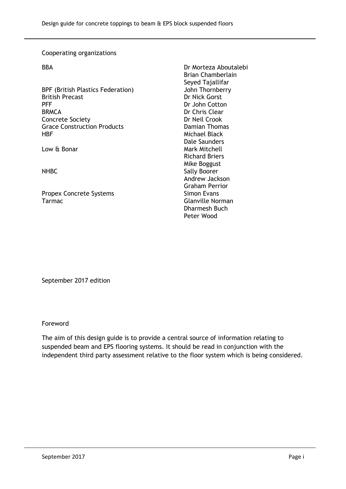#### Cooperating organizations

BPF (British Plastics Federation) John Thornberry British Precast **Dr Nick Gorst** PFF Dr John Cotton BRMCA Dr Chris Clear Concrete Society<br>
Grace Construction Products<br>
Grace Construction Products<br>
Damian Thomas **Grace Construction Products** HBF Michael Black

Propex Concrete Systems Simon Evans Tarmac **Glanville Norman** 

BBA Dr Morteza Aboutalebi Brian Chamberlain Seyed Tajallifar Dale Saunders Low & Bonar Mark Mitchell Richard Briers Mike Boggust NHBC Sally Boorer Andrew Jackson Graham Perrior Dharmesh Buch Peter Wood

September 2017 edition

Foreword

The aim of this design guide is to provide a central source of information relating to suspended beam and EPS flooring systems. It should be read in conjunction with the independent third party assessment relative to the floor system which is being considered.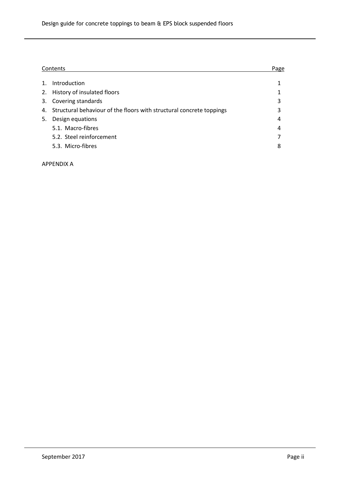|    | Contents                                                                |   |  |
|----|-------------------------------------------------------------------------|---|--|
|    |                                                                         |   |  |
|    | Introduction                                                            |   |  |
| 2. | History of insulated floors                                             |   |  |
| 3. | Covering standards                                                      | 3 |  |
|    | 4. Structural behaviour of the floors with structural concrete toppings | 3 |  |
| 5. | Design equations                                                        | 4 |  |
|    | 5.1. Macro-fibres                                                       | 4 |  |
|    | 5.2. Steel reinforcement                                                |   |  |
|    | 5.3. Micro-fibres                                                       | 8 |  |
|    |                                                                         |   |  |

APPENDIX A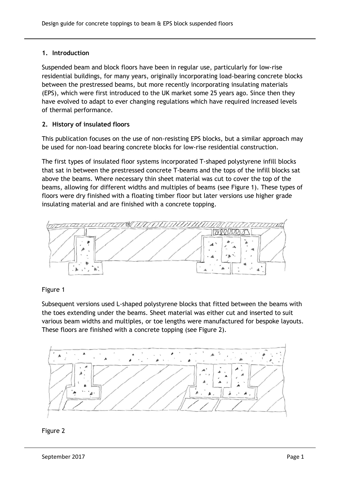# **1. Introduction**

Suspended beam and block floors have been in regular use, particularly for low-rise residential buildings, for many years, originally incorporating load-bearing concrete blocks between the prestressed beams, but more recently incorporating insulating materials (EPS), which were first introduced to the UK market some 25 years ago. Since then they have evolved to adapt to ever changing regulations which have required increased levels of thermal performance.

# **2. History of insulated floors**

This publication focuses on the use of non-resisting EPS blocks, but a similar approach may be used for non-load bearing concrete blocks for low-rise residential construction.

The first types of insulated floor systems incorporated T-shaped polystyrene infill blocks that sat in between the prestressed concrete T-beams and the tops of the infill blocks sat above the beams. Where necessary thin sheet material was cut to cover the top of the beams, allowing for different widths and multiples of beams (see Figure 1). These types of floors were dry finished with a floating timber floor but later versions use higher grade insulating material and are finished with a concrete topping.



# Figure 1

Subsequent versions used L-shaped polystyrene blocks that fitted between the beams with the toes extending under the beams. Sheet material was either cut and inserted to suit various beam widths and multiples, or toe lengths were manufactured for bespoke layouts. These floors are finished with a concrete topping (see Figure 2).



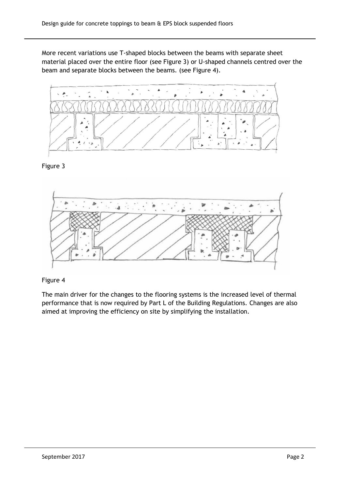More recent variations use T-shaped blocks between the beams with separate sheet material placed over the entire floor (see Figure 3) or U-shaped channels centred over the beam and separate blocks between the beams. (see Figure 4).



## Figure 3



## Figure 4

The main driver for the changes to the flooring systems is the increased level of thermal performance that is now required by Part L of the Building Regulations. Changes are also aimed at improving the efficiency on site by simplifying the installation.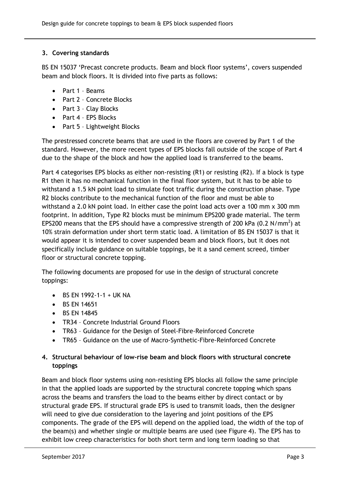# **3. Covering standards**

BS EN 15037 'Precast concrete products. Beam and block floor systems', covers suspended beam and block floors. It is divided into five parts as follows:

- Part 1 Beams
- Part 2 Concrete Blocks
- Part 3 Clay Blocks
- Part 4 EPS Blocks
- Part 5 Lightweight Blocks

The prestressed concrete beams that are used in the floors are covered by Part 1 of the standard. However, the more recent types of EPS blocks fall outside of the scope of Part 4 due to the shape of the block and how the applied load is transferred to the beams.

Part 4 categorises EPS blocks as either non-resisting (R1) or resisting (R2). If a block is type R1 then it has no mechanical function in the final floor system, but it has to be able to withstand a 1.5 kN point load to simulate foot traffic during the construction phase. Type R2 blocks contribute to the mechanical function of the floor and must be able to withstand a 2.0 kN point load. In either case the point load acts over a 100 mm x 300 mm footprint. In addition, Type R2 blocks must be minimum EPS200 grade material. The term EPS200 means that the EPS should have a compressive strength of 200 kPa (0.2 N/mm<sup>2</sup>) at 10% strain deformation under short term static load. A limitation of BS EN 15037 is that it would appear it is intended to cover suspended beam and block floors, but it does not specifically include guidance on suitable toppings, be it a sand cement screed, timber floor or structural concrete topping.

The following documents are proposed for use in the design of structural concrete toppings:

- BS EN 1992-1-1 + UK NA
- BS FN 14651
- BS EN 14845
- TR34 Concrete Industrial Ground Floors
- TR63 Guidance for the Design of Steel-Fibre-Reinforced Concrete
- TR65 Guidance on the use of Macro-Synthetic-Fibre-Reinforced Concrete

# **4. Structural behaviour of low-rise beam and block floors with structural concrete toppings**

Beam and block floor systems using non-resisting EPS blocks all follow the same principle in that the applied loads are supported by the structural concrete topping which spans across the beams and transfers the load to the beams either by direct contact or by structural grade EPS. If structural grade EPS is used to transmit loads, then the designer will need to give due consideration to the layering and joint positions of the EPS components. The grade of the EPS will depend on the applied load, the width of the top of the beam(s) and whether single or multiple beams are used (see Figure 4). The EPS has to exhibit low creep characteristics for both short term and long term loading so that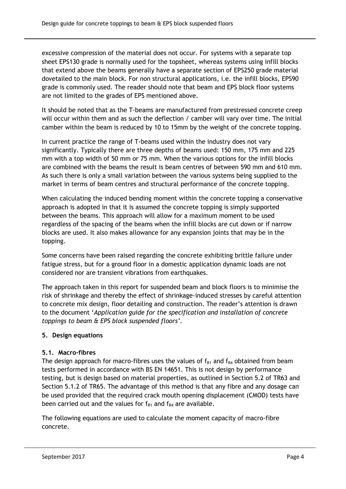excessive compression of the material does not occur. For systems with a separate top sheet EPS130 grade is normally used for the topsheet, whereas systems using infill blocks that extend above the beams generally have a separate section of EPS250 grade material dovetailed to the main block. For non structural applications, i.e. the infill blocks, EPS90 grade is commonly used. The reader should note that beam and EPS block floor systems are not limited to the grades of EPS mentioned above.

It should be noted that as the T-beams are manufactured from prestressed concrete creep will occur within them and as such the deflection / camber will vary over time. The initial camber within the beam is reduced by 10 to 15mm by the weight of the concrete topping.

In current practice the range of T-beams used within the industry does not vary significantly. Typically there are three depths of beams used: 150 mm, 175 mm and 225 mm with a top width of 50 mm or 75 mm. When the various options for the infill blocks are combined with the beams the result is beam centres of between 590 mm and 610 mm. As such there is only a small variation between the various systems being supplied to the market in terms of beam centres and structural performance of the concrete topping.

When calculating the induced bending moment within the concrete topping a conservative approach is adopted in that it is assumed the concrete topping is simply supported between the beams. This approach will allow for a maximum moment to be used regardless of the spacing of the beams when the infill blocks are cut down or if narrow blocks are used. It also makes allowance for any expansion joints that may be in the topping.

Some concerns have been raised regarding the concrete exhibiting brittle failure under fatigue stress, but for a ground floor in a domestic application dynamic loads are not considered nor are transient vibrations from earthquakes.

The approach taken in this report for suspended beam and block floors is to minimise the risk of shrinkage and thereby the effect of shrinkage-induced stresses by careful attention to concrete mix design, floor detailing and construction. The reader's attention is drawn to the document '*Application guide for the specification and installation of concrete toppings to beam & EPS block suspended floors'.*

# **5. Design equations**

## **5.1. Macro-fibres**

The design approach for macro-fibres uses the values of  $f_{R1}$  and  $f_{R4}$  obtained from beam tests performed in accordance with BS EN 14651. This is not design by performance testing, but is design based on material properties, as outlined in Section 5.2 of TR63 and Section 5.1.2 of TR65. The advantage of this method is that any fibre and any dosage can be used provided that the required crack mouth opening displacement (CMOD) tests have been carried out and the values for  $f_{R1}$  and  $f_{R4}$  are available.

The following equations are used to calculate the moment capacity of macro-fibre concrete.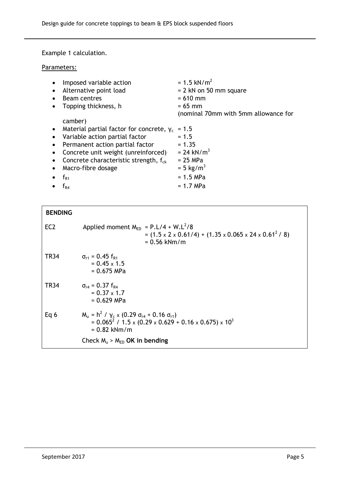Example 1 calculation.

Parameters:

| Imposed variable action<br>Alternative point load<br><b>Beam centres</b><br>Topping thickness, h | $= 1.5$ kN/m <sup>2</sup><br>$= 2$ kN on 50 mm square<br>$= 610$ mm<br>$= 65$ mm |
|--------------------------------------------------------------------------------------------------|----------------------------------------------------------------------------------|
|                                                                                                  | (nominal 70mm with 5mm allowance for                                             |
| camber)                                                                                          |                                                                                  |
| • Material partial factor for concrete, $y_c$                                                    | $= 1.5$                                                                          |
| Variable action partial factor                                                                   | $= 1.5$                                                                          |
| Permanent action partial factor                                                                  | $= 1.35$                                                                         |
| Concrete unit weight (unreinforced)                                                              | $= 24$ kN/m <sup>3</sup>                                                         |
| Concrete characteristic strength, $f_{ck}$                                                       | $= 25$ MPa                                                                       |
| Macro-fibre dosage                                                                               | $= 5$ kg/m <sup>3</sup>                                                          |
| $f_{R1}$                                                                                         | $= 1.5 MPa$                                                                      |
| $\rm t_{\scriptscriptstyle R4}$                                                                  | $= 1.7$ MPa                                                                      |

| <b>BENDING</b>  |                                                                                                                                                                             |
|-----------------|-----------------------------------------------------------------------------------------------------------------------------------------------------------------------------|
| EC <sub>2</sub> | Applied moment $M_{\text{FD}} = P.L/4 + W.L^2/8$<br>$=$ (1.5 x 2 x 0.61/4) + (1.35 x 0.065 x 24 x 0.61 <sup>2</sup> / 8)<br>$= 0.56$ kNm/m                                  |
| <b>TR34</b>     | $\sigma_{r1} = 0.45 f_{R1}$<br>$= 0.45 \times 1.5$<br>$= 0.675$ MPa                                                                                                         |
| <b>TR34</b>     | $\sigma_{\text{r4}} = 0.37 \text{ f}_{\text{R4}}$<br>$= 0.37 \times 1.7$<br>$= 0.629$ MPa                                                                                   |
| Eq 6            | $M_{u} = h^{2} / \gamma_{c} \times (0.29 \sigma_{r4} + 0.16 \sigma_{r1})$<br>$= 0.065^2 / 1.5 \times (0.29 \times 0.629 + 0.16 \times 0.675) \times 10^3$<br>$= 0.82$ kNm/m |
|                 | Check $M_u$ > $M_{ED}$ OK in bending                                                                                                                                        |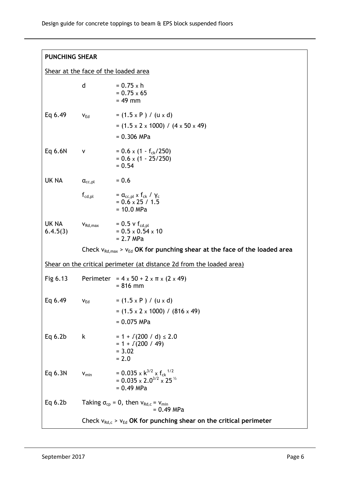# **PUNCHING SHEAR**

Shear at the face of the loaded area

|                   | d                                                                           | $= 0.75 \times h$<br>$= 0.75 \times 65$<br>$= 49$ mm                                               |  |
|-------------------|-----------------------------------------------------------------------------|----------------------------------------------------------------------------------------------------|--|
| Eq 6.49           | $V_{\text{Ed}}$                                                             | $= (1.5 \times P) / (u \times d)$<br>$=$ (1.5 x 2 x 1000) / (4 x 50 x 49)<br>$= 0.306$ MPa         |  |
| Eq 6.6N           | ٧                                                                           | $= 0.6 \times (1 - f_{ck}/250)$<br>$= 0.6 \times (1 - 25/250)$<br>$= 0.54$                         |  |
| UK NA             | $\mathsf{a}_{\mathsf{cc},\mathsf{pl}}$                                      | $= 0.6$                                                                                            |  |
|                   | $\sf f_{\sf cd, \sf pl}$                                                    | $=$ $\alpha_{cc,pl}$ x f <sub>ck</sub> / $\gamma_c$<br>$= 0.6 \times 25 / 1.5$<br>$= 10.0$ MPa     |  |
| UK NA<br>6.4.5(3) | $V_{Rd, max}$                                                               | $= 0.5 \vee f_{\text{cd,pl}}$<br>$= 0.5 \times 0.54 \times 10$<br>$= 2.7 MPa$                      |  |
|                   |                                                                             | Check $v_{Rd, max}$ > $v_{Ed}$ OK for punching shear at the face of the loaded area                |  |
|                   |                                                                             | Shear on the critical perimeter (at distance 2d from the loaded area)                              |  |
| Fig 6.13          |                                                                             | Perimeter = $4 \times 50 + 2 \times \pi \times (2 \times 49)$<br>$= 816$ mm                        |  |
| Eq 6.49           | $V_{\text{Ed}}$                                                             | $= (1.5 \times P) / (u \times d)$<br>$=$ (1.5 x 2 x 1000) / (816 x 49)<br>$= 0.075$ MPa            |  |
| Eq $6.2b$         | k,                                                                          | $= 1 + \sqrt{200} / d \le 2.0$<br>$= 1 + \sqrt{200 / 49}$<br>$= 3.02$<br>$= 2.0$                   |  |
| Eq 6.3N           | $V_{min}$                                                                   | = 0.035 x $k^{3/2}$ x $f_{ck}^{1/2}$<br>= $0.035 \times 2.0^{3/2} \times 25^{1/2}$<br>$= 0.49$ MPa |  |
| Eq $6.2b$         | Taking $\sigma_{cp} = 0$ , then $v_{Rd,c} = v_{min}$<br>$= 0.49$ MPa        |                                                                                                    |  |
|                   | Check $v_{Rd,c}$ > $v_{Ed}$ OK for punching shear on the critical perimeter |                                                                                                    |  |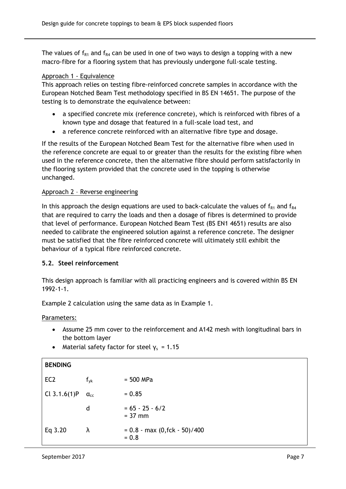The values of  $f_{R1}$  and  $f_{R4}$  can be used in one of two ways to design a topping with a new macro-fibre for a flooring system that has previously undergone full-scale testing.

## Approach 1 - Equivalence

This approach relies on testing fibre-reinforced concrete samples in accordance with the European Notched Beam Test methodology specified in BS EN 14651. The purpose of the testing is to demonstrate the equivalence between:

- a specified concrete mix (reference concrete), which is reinforced with fibres of a known type and dosage that featured in a full-scale load test, and
- a reference concrete reinforced with an alternative fibre type and dosage.

If the results of the European Notched Beam Test for the alternative fibre when used in the reference concrete are equal to or greater than the results for the existing fibre when used in the reference concrete, then the alternative fibre should perform satisfactorily in the flooring system provided that the concrete used in the topping is otherwise unchanged.

# Approach 2 – Reverse engineering

In this approach the design equations are used to back-calculate the values of  $f_{R1}$  and  $f_{R4}$ that are required to carry the loads and then a dosage of fibres is determined to provide that level of performance. European Notched Beam Test (BS EN1 4651) results are also needed to calibrate the engineered solution against a reference concrete. The designer must be satisfied that the fibre reinforced concrete will ultimately still exhibit the behaviour of a typical fibre reinforced concrete.

# **5.2. Steel reinforcement**

This design approach is familiar with all practicing engineers and is covered within BS EN 1992-1-1.

Example 2 calculation using the same data as in Example 1.

## Parameters:

- Assume 25 mm cover to the reinforcement and A142 mesh with longitudinal bars in the bottom layer
- Material safety factor for steel  $y_s = 1.15$

| <b>BENDING</b>  |                              |                                                            |
|-----------------|------------------------------|------------------------------------------------------------|
| EC <sub>2</sub> | $f_{\mathsf{yk}}$            | $= 500$ MPa                                                |
| Cl $3.1.6(1)P$  | $\mathfrak{a}_{\mathsf{cc}}$ | $= 0.85$                                                   |
|                 | d                            | $= 65 - 25 - 6/2$<br>$= 37$ mm                             |
| Eq 3.20         | λ                            | $= 0.8 - \text{max} (0, \text{fck} - 50) / 400$<br>$= 0.8$ |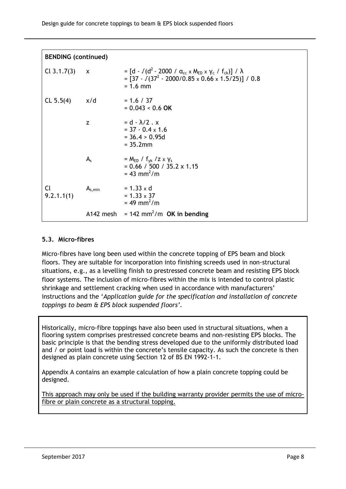| <b>BENDING (continued)</b> |              |                                                                                                                                                              |  |
|----------------------------|--------------|--------------------------------------------------------------------------------------------------------------------------------------------------------------|--|
| Cl $3.1.7(3)$              | $\mathbf{x}$ | = [d - $\sqrt{(d^2 - 2000 / α_{cc} \times M_{ED} × γ_c / f_{ck})}$ / λ<br>= $[37 - \sqrt{(37^2 - 2000/0.85 \times 0.66 \times 1.5/25)}] / 0.8$<br>$= 1.6$ mm |  |
| CL 5.5(4)                  | x/d          | $= 1.6 / 37$<br>$= 0.043 < 0.6$ OK                                                                                                                           |  |
|                            | Z            | $= d - \lambda/2$ . x<br>$=$ 37 - 0.4 $\times$ 1.6<br>$= 36.4 > 0.95d$<br>$= 35.2$ mm                                                                        |  |
|                            | $A_{s}$      | $= M_{ED} / f_{vk} / Z \times Y_s$<br>$= 0.66 / 500 / 35.2 \times 1.15$<br>$= 43$ mm <sup>2</sup> /m                                                         |  |
| Cl.<br>9.2.1.1(1)          | $A_{s,min}$  | $= 1.33 \times d$<br>$= 1.33 \times 37$<br>$= 49$ mm <sup>2</sup> /m                                                                                         |  |
|                            |              | A142 mesh = $142 \text{ mm}^2/\text{m}$ OK in bending                                                                                                        |  |

## **5.3. Micro-fibres**

Micro-fibres have long been used within the concrete topping of EPS beam and block floors. They are suitable for incorporation into finishing screeds used in non-structural situations, e.g., as a levelling finish to prestressed concrete beam and resisting EPS block floor systems. The inclusion of micro-fibres within the mix is intended to control plastic shrinkage and settlement cracking when used in accordance with manufacturers' instructions and the '*Application guide for the specification and installation of concrete toppings to beam & EPS block suspended floors'.*

Historically, micro-fibre toppings have also been used in structural situations, when a flooring system comprises prestressed concrete beams and non-resisting EPS blocks. The basic principle is that the bending stress developed due to the uniformly distributed load and / or point load is within the concrete's tensile capacity. As such the concrete is then designed as plain concrete using Section 12 of BS EN 1992-1-1.

Appendix A contains an example calculation of how a plain concrete topping could be designed.

This approach may only be used if the building warranty provider permits the use of microfibre or plain concrete as a structural topping.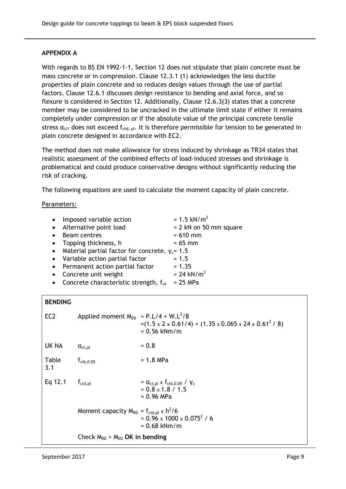## **APPENDIX A**

With regards to BS EN 1992-1-1, Section 12 does not stipulate that plain concrete must be mass concrete or in compression. Clause 12.3.1 (1) acknowledges the less ductile properties of plain concrete and so reduces design values through the use of partial factors. Clause 12.6.1 discusses design resistance to bending and axial force, and so flexure is considered in Section 12. Additionally, Clause 12.6.3(3) states that a concrete member may be considered to be uncracked in the ultimate limit state if either it remains completely under compression or if the absolute value of the principal concrete tensile stress  $\sigma_{\text{ct1}}$  does not exceed  $f_{\text{ctd, pl}}$ . It is therefore permissible for tension to be generated in plain concrete designed in accordance with EC2.

The method does not make allowance for stress induced by shrinkage as TR34 states that realistic assessment of the combined effects of load-induced stresses and shrinkage is problematical and could produce conservative designs without significantly reducing the risk of cracking.

The following equations are used to calculate the moment capacity of plain concrete.

#### Parameters:

| $\bullet$ | Imposed variable action                             | $= 1.5$ kN/m <sup>2</sup> |
|-----------|-----------------------------------------------------|---------------------------|
|           | • Alternative point load                            | $= 2$ kN on 50 mm square  |
| $\bullet$ | Beam centres                                        | $= 610$ mm                |
|           | • Topping thickness, h                              | $= 65$ mm                 |
|           | • Material partial factor for concrete, $y_c = 1.5$ |                           |
|           | • Variable action partial factor                    | $= 1.5$                   |
|           | • Permanent action partial factor                   | $= 1.35$                  |
| $\bullet$ | Concrete unit weight                                | $= 24$ kN/m <sup>3</sup>  |
|           | • Concrete characteristic strength, $f_{ck}$        | $= 25$ MPa                |

## **BENDING**

| EC <sub>2</sub> | Applied moment $M_{ED} = P.L/4 + W.L^2/8$                 | $=(1.5 \times 2 \times 0.61/4) + (1.35 \times 0.065 \times 24 \times 0.61^2/8)$<br>$= 0.56$ kNm/m                    |
|-----------------|-----------------------------------------------------------|----------------------------------------------------------------------------------------------------------------------|
| <b>UK NA</b>    | $\mathsf{a}_{\mathsf{ct},\mathsf{pl}}$                    | $= 0.8$                                                                                                              |
| Table<br>3.1    | $f_{\text{ctk},0.05}$                                     | $= 1.8$ MPa                                                                                                          |
| Eq 12.1         | $f_{\text{ctd,pl}}$                                       | $=$ $\alpha_{\text{ct,pl}} \times f_{\text{ctk,0.05}} / \gamma_{\text{c}}$<br>$= 0.8 \times 1.8 / 1.5$<br>= 0.96 MPa |
|                 | Moment capacity $M_{RD} = f_{\text{ctd,pl}} \times h^2/6$ | $= 0.96 \times 1000 \times 0.075^{2}$ / 6<br>$= 0.68$ kNm/m                                                          |
|                 | Check $M_{RD}$ > $M_{ED}$ OK in bending                   |                                                                                                                      |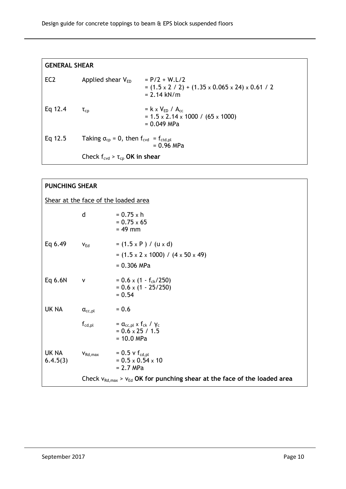| EC <sub>2</sub>                                                                   | Applied shear $V_{FD}$                                | $= P/2 + W.L/2$<br>$=$ (1.5 x 2 / 2) + (1.35 x 0.065 x 24) x 0.61 / 2<br>$= 2.14$ kN/m                      |
|-----------------------------------------------------------------------------------|-------------------------------------------------------|-------------------------------------------------------------------------------------------------------------|
| Eq 12.4                                                                           | $\tau_{\textsf{cp}}$                                  | $=$ k x V <sub>ED</sub> / A <sub>cc</sub><br>$= 1.5 \times 2.14 \times 1000$ / (65 x 1000)<br>$= 0.049$ MPa |
| Eq $12.5$<br>Taking $\sigma_{cp} = 0$ , then $f_{cvd} = f_{ctd,pl}$<br>= 0.96 MPa |                                                       |                                                                                                             |
|                                                                                   | Check $f_{\text{cvd}} > \tau_{\text{cp}}$ OK in shear |                                                                                                             |

| <b>PUNCHING SHEAR</b>                |                                          |                                                                                            |  |
|--------------------------------------|------------------------------------------|--------------------------------------------------------------------------------------------|--|
| Shear at the face of the loaded area |                                          |                                                                                            |  |
|                                      | d                                        | $= 0.75 \times h$<br>$= 0.75 \times 65$<br>$= 49$ mm                                       |  |
| Eq 6.49                              | $V_{\text{Ed}}$                          | $= (1.5 \times P) / (u \times d)$<br>$=$ (1.5 x 2 x 1000) / (4 x 50 x 49)<br>$= 0.306$ MPa |  |
| Eq 6.6N                              | $\mathsf{v}$                             | $= 0.6 \times (1 - f_{ck}/250)$<br>$= 0.6 \times (1 - 25/250)$<br>$= 0.54$                 |  |
| UK NA                                | $\alpha_{\text{cc,pl}}$                  | $= 0.6$                                                                                    |  |
|                                      | $\boldsymbol{\mathsf{f}}_{\text{cd,pl}}$ | $=$ $\alpha_{cc,pl}$ x $f_{ck}$ / $\gamma_c$<br>$= 0.6 \times 25 / 1.5$<br>$= 10.0$ MPa    |  |
| UK NA<br>6.4.5(3)                    | $V_{Rd, max}$                            | $= 0.5$ v $f_{cd,pl}$<br>$= 0.5 \times 0.54 \times 10$<br>$= 2.7 MPa$                      |  |
|                                      |                                          | Check $v_{Rd, max}$ > $v_{Ed}$ OK for punching shear at the face of the loaded area        |  |